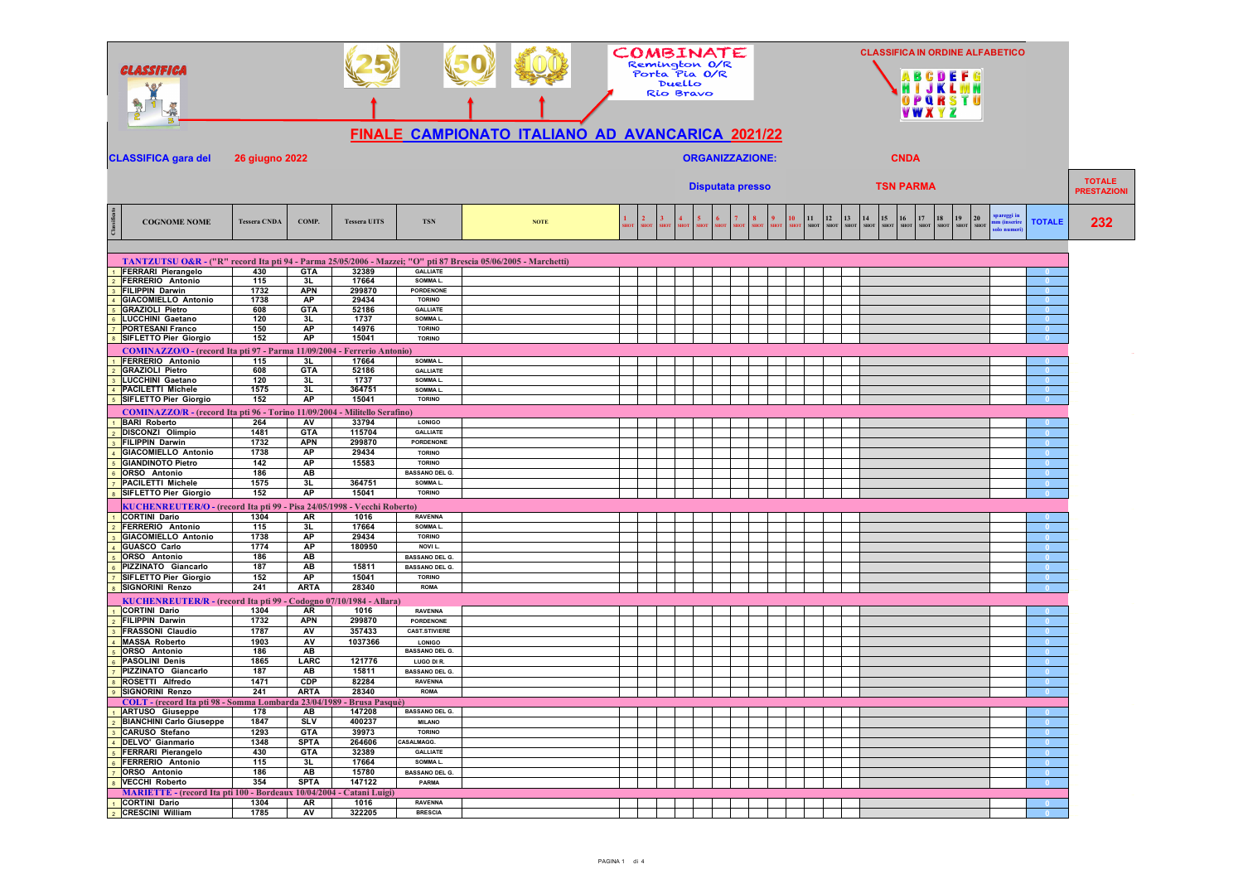| CLASSIFICA                                                                                                                                  |                       |                          |                              |                                        | FINALE CAMPIONATO ITALIANO AD AVANCARICA 2021/22 |              |                               | Duello<br>Rio Bravo | Remington O/R<br>Porta Pia O/R | COMBINATE               |                   |         |                   |                          |                                                                   | VWXYZ                           | GDEF<br>OPQRSTU                 | <b>CLASSIFICA IN ORDINE ALFABETICO</b>          |                          |                                     |
|---------------------------------------------------------------------------------------------------------------------------------------------|-----------------------|--------------------------|------------------------------|----------------------------------------|--------------------------------------------------|--------------|-------------------------------|---------------------|--------------------------------|-------------------------|-------------------|---------|-------------------|--------------------------|-------------------------------------------------------------------|---------------------------------|---------------------------------|-------------------------------------------------|--------------------------|-------------------------------------|
| <b>CLASSIFICA gara del</b>                                                                                                                  | <b>26 giugno 2022</b> |                          |                              |                                        |                                                  |              |                               |                     |                                | <b>ORGANIZZAZIONE:</b>  |                   |         |                   |                          |                                                                   | <b>CNDA</b>                     |                                 |                                                 |                          |                                     |
|                                                                                                                                             |                       |                          |                              |                                        |                                                  |              |                               |                     |                                | <b>Disputata presso</b> |                   |         |                   |                          |                                                                   | <b>TSN PARMA</b>                |                                 |                                                 |                          | <b>TOTALE</b><br><b>PRESTAZIONI</b> |
| <b>COGNOME NOME</b>                                                                                                                         | <b>Tessera CNDA</b>   | COMP.                    | <b>Tessera UITS</b>          | <b>TSN</b>                             | <b>NOTE</b>                                      | $\mathbf{2}$ | $\overline{\mathbf{3}}$<br>нo |                     |                                |                         | 8.<br><b>SHOT</b> | $10-10$ | 11<br><b>SHOT</b> | $12$<br>SHO <sub>1</sub> | 13<br>$\overline{15}$<br>14<br>SHOT<br><b>SHOT</b><br><b>SHOT</b> | 16<br>17<br>SHOT<br><b>SHOT</b> | 18<br>19<br><b>SHOT</b><br>SHOT | ipareggi in<br>20<br>nm (inserir<br><b>SHOT</b> | <b>TOTALE</b>            | 232                                 |
|                                                                                                                                             |                       |                          |                              |                                        |                                                  |              |                               |                     |                                |                         |                   |         |                   |                          |                                                                   |                                 |                                 |                                                 |                          |                                     |
| TANTZUTSU O&R - ("R" record Ita pti 94 - Parma 25/05/2006 - Mazzei; "O" pti 87 Brescia 05/06/2005 - Marchetti)<br><b>FERRARI Pierangelo</b> | 430                   | <b>GTA</b>               | 32389                        | <b>GALLIATE</b>                        |                                                  |              |                               |                     |                                |                         |                   |         |                   |                          |                                                                   |                                 |                                 |                                                 |                          |                                     |
| FERRERIO Antonio                                                                                                                            | 115                   | 3L                       | 17664                        | SOMMAL.                                |                                                  |              |                               |                     |                                |                         |                   |         |                   |                          |                                                                   |                                 |                                 |                                                 |                          |                                     |
| <b>FILIPPIN Darwin</b>                                                                                                                      | 1732                  | <b>APN</b>               | 299870                       | <b>PORDENONE</b>                       |                                                  |              |                               |                     |                                |                         |                   |         |                   |                          |                                                                   |                                 |                                 |                                                 |                          |                                     |
| <b>GIACOMIELLO Antonio</b><br><b>GRAZIOLI Pietro</b>                                                                                        | 1738<br>608           | <b>AP</b><br><b>GTA</b>  | 29434<br>52186               | <b>TORINO</b><br><b>GALLIATE</b>       |                                                  |              |                               |                     |                                |                         |                   |         |                   |                          |                                                                   |                                 |                                 |                                                 |                          |                                     |
| <b>LUCCHINI Gaetano</b>                                                                                                                     | 120                   | 3L                       | 1737                         | SOMMAL.                                |                                                  |              |                               |                     |                                |                         |                   |         |                   |                          |                                                                   |                                 |                                 |                                                 | $\overline{0}$           |                                     |
| <b>PORTESANI Franco</b>                                                                                                                     | 150                   | AP                       | 14976                        | <b>TORINO</b>                          |                                                  |              |                               |                     |                                |                         |                   |         |                   |                          |                                                                   |                                 |                                 |                                                 | - 0                      |                                     |
| SIFLETTO Pier Giorgio                                                                                                                       | 152                   | <b>AP</b>                | 15041                        | <b>TORINO</b>                          |                                                  |              |                               |                     |                                |                         |                   |         |                   |                          |                                                                   |                                 |                                 |                                                 |                          |                                     |
| COMINAZZO/O - (record Ita pti 97 - Parma 11/09/2004 - Ferrerio Antonio)                                                                     |                       |                          |                              |                                        |                                                  |              |                               |                     |                                |                         |                   |         |                   |                          |                                                                   |                                 |                                 |                                                 |                          |                                     |
| FERRERIO Antonio<br><b>GRAZIOLI Pietro</b>                                                                                                  | 115<br>608            | 3L<br><b>GTA</b>         | 17664<br>52186               | SOMMAL.<br><b>GALLIATE</b>             |                                                  |              |                               |                     |                                |                         |                   |         |                   |                          |                                                                   |                                 |                                 |                                                 |                          |                                     |
| <b>LUCCHINI Gaetano</b>                                                                                                                     | 120                   | 3L                       | 1737                         | SOMMA L.                               |                                                  |              |                               |                     |                                |                         |                   |         |                   |                          |                                                                   |                                 |                                 |                                                 |                          |                                     |
| <b>PACILETTI Michele</b>                                                                                                                    | 1575                  | 3L                       | 364751                       | SOMMAL.                                |                                                  |              |                               |                     |                                |                         |                   |         |                   |                          |                                                                   |                                 |                                 |                                                 | - 0                      |                                     |
| SIFLETTO Pier Giorgio                                                                                                                       | 152                   | <b>AP</b>                | 15041                        | <b>TORINO</b>                          |                                                  |              |                               |                     |                                |                         |                   |         |                   |                          |                                                                   |                                 |                                 |                                                 |                          |                                     |
| COMINAZZO/R - (record Ita pti 96 - Torino 11/09/2004 - Militello Serafino)                                                                  |                       |                          |                              |                                        |                                                  |              |                               |                     |                                |                         |                   |         |                   |                          |                                                                   |                                 |                                 |                                                 |                          |                                     |
| <b>BARI Roberto</b>                                                                                                                         | 264                   | <b>AV</b>                | 33794                        | <b>LONIGO</b>                          |                                                  |              |                               |                     |                                |                         |                   |         |                   |                          |                                                                   |                                 |                                 |                                                 |                          |                                     |
| DISCONZI Olimpio<br><b>FILIPPIN Darwin</b>                                                                                                  | 1481<br>1732          | <b>GTA</b><br><b>APN</b> | 115704<br>299870             | <b>GALLIATE</b><br>PORDENONE           |                                                  |              |                               |                     |                                |                         |                   |         |                   |                          |                                                                   |                                 |                                 |                                                 | - 0                      |                                     |
| <b>GIACOMIELLO Antonio</b>                                                                                                                  | 1738                  | AP                       | 29434                        | <b>TORINO</b>                          |                                                  |              |                               |                     |                                |                         |                   |         |                   |                          |                                                                   |                                 |                                 |                                                 |                          |                                     |
| <b>GIANDINOTO Pietro</b>                                                                                                                    | 142                   | <b>AP</b>                | 15583                        | <b>TORINO</b>                          |                                                  |              |                               |                     |                                |                         |                   |         |                   |                          |                                                                   |                                 |                                 |                                                 |                          |                                     |
| ORSO Antonio                                                                                                                                | 186                   | AB                       |                              | <b>BASSANO DEL G.</b>                  |                                                  |              |                               |                     |                                |                         |                   |         |                   |                          |                                                                   |                                 |                                 |                                                 |                          |                                     |
| <b>PACILETTI Michele</b>                                                                                                                    | 1575                  | 3L                       | 364751                       | SOMMA L.<br><b>TORINO</b>              |                                                  |              |                               |                     |                                |                         |                   |         |                   |                          |                                                                   |                                 |                                 |                                                 | $\overline{\phantom{0}}$ |                                     |
| <b>SIFLETTO Pier Giorgio</b>                                                                                                                | 152                   | <b>AP</b>                | 15041                        |                                        |                                                  |              |                               |                     |                                |                         |                   |         |                   |                          |                                                                   |                                 |                                 |                                                 | - 0                      |                                     |
| KUCHENREUTER/O - (record Ita pti 99 - Pisa 24/05/1998 - Vecchi Roberto)<br><b>CORTINI Dario</b>                                             | 1304                  | <b>AR</b>                | 1016                         | <b>RAVENNA</b>                         |                                                  |              |                               |                     |                                |                         |                   |         |                   |                          |                                                                   |                                 |                                 |                                                 |                          |                                     |
| FERRERIO Antonio                                                                                                                            | 115                   | 3L                       | 17664                        | SOMMAL.                                |                                                  |              |                               |                     |                                |                         |                   |         |                   |                          |                                                                   |                                 |                                 |                                                 |                          |                                     |
| <b>GIACOMIELLO Antonio</b>                                                                                                                  | 1738                  | <b>AP</b>                | 29434                        | <b>TORINO</b>                          |                                                  |              |                               |                     |                                |                         |                   |         |                   |                          |                                                                   |                                 |                                 |                                                 |                          |                                     |
| <b>GUASCO Carlo</b>                                                                                                                         | 1774                  | <b>AP</b>                | 180950                       | NOVI L.                                |                                                  |              |                               |                     |                                |                         |                   |         |                   |                          |                                                                   |                                 |                                 |                                                 |                          |                                     |
| ORSO Antonio                                                                                                                                | 186                   | AB                       |                              | <b>BASSANO DEL G.</b>                  |                                                  |              |                               |                     |                                |                         |                   |         |                   |                          |                                                                   |                                 |                                 |                                                 |                          |                                     |
| PIZZINATO Giancarlo                                                                                                                         | 187                   | AB<br><b>AP</b>          | 15811                        | <b>BASSANO DEL G.</b><br><b>TORINO</b> |                                                  |              |                               |                     |                                |                         |                   |         |                   |                          |                                                                   |                                 |                                 |                                                 | $\overline{0}$           |                                     |
| <b>SIFLETTO Pier Giorgio</b><br><b>SIGNORINI Renzo</b>                                                                                      | 152<br>241            | <b>ARTA</b>              | 15041<br>28340               | <b>ROMA</b>                            |                                                  |              |                               |                     |                                |                         |                   |         |                   |                          |                                                                   |                                 |                                 |                                                 | - 0                      |                                     |
| KUCHENREUTER/R - (record Ita pti 99 -                                                                                                       |                       |                          | Codogno 07/10/1984 - Allara) |                                        |                                                  |              |                               |                     |                                |                         |                   |         |                   |                          |                                                                   |                                 |                                 |                                                 |                          |                                     |
| <b>CORTINI Dario</b>                                                                                                                        | 1304                  | AR                       | 1016                         | <b>RAVENNA</b>                         |                                                  |              |                               |                     |                                |                         |                   |         |                   |                          |                                                                   |                                 |                                 |                                                 |                          |                                     |
| <b>FILIPPIN Darwin</b>                                                                                                                      | 1732                  | <b>APN</b>               | 299870                       | <b>PORDENONE</b>                       |                                                  |              |                               |                     |                                |                         |                   |         |                   |                          |                                                                   |                                 |                                 |                                                 |                          |                                     |
| <b>FRASSONI Claudio</b>                                                                                                                     | 1787                  | AV                       | 357433                       | <b>CAST.STIVIERE</b>                   |                                                  |              |                               |                     |                                |                         |                   |         |                   |                          |                                                                   |                                 |                                 |                                                 |                          |                                     |
| <b>MASSA Roberto</b>                                                                                                                        | 1903                  | AV                       | 1037366                      | <b>LONIGO</b>                          |                                                  |              |                               |                     |                                |                         |                   |         |                   |                          |                                                                   |                                 |                                 |                                                 |                          |                                     |
| ORSO Antonio<br><b>PASOLINI Denis</b>                                                                                                       | 186<br>1865           | AB<br>LARC               | 121776                       | <b>BASSANO DEL G.</b><br>LUGO DI R.    |                                                  |              |                               |                     |                                |                         |                   |         |                   |                          |                                                                   |                                 |                                 |                                                 | $\overline{0}$           |                                     |
| PIZZINATO Giancarlo                                                                                                                         | 187                   | AB                       | 15811                        | <b>BASSANO DEL G.</b>                  |                                                  |              |                               |                     |                                |                         |                   |         |                   |                          |                                                                   |                                 |                                 |                                                 |                          |                                     |
| ROSETTI Alfredo                                                                                                                             | 1471                  | <b>CDP</b>               | 82284                        | <b>RAVENNA</b>                         |                                                  |              |                               |                     |                                |                         |                   |         |                   |                          |                                                                   |                                 |                                 |                                                 | - 0                      |                                     |
| <b>SIGNORINI Renzo</b>                                                                                                                      | 241                   | <b>ARTA</b>              | 28340                        | <b>ROMA</b>                            |                                                  |              |                               |                     |                                |                         |                   |         |                   |                          |                                                                   |                                 |                                 |                                                 |                          |                                     |
| COLI - (record ita pu 98 - Somma Lombarda 23/04/1989 - Brusa Pasque)                                                                        |                       |                          |                              |                                        |                                                  |              |                               |                     |                                |                         |                   |         |                   |                          |                                                                   |                                 |                                 |                                                 |                          |                                     |
| <b>ARTUSO</b> Giuseppe                                                                                                                      | 178<br>1847           | AВ<br>SLV                | 147208<br>400237             | <b>BASSANO DEL G.</b><br><b>MILANO</b> |                                                  |              |                               |                     |                                |                         |                   |         |                   |                          |                                                                   |                                 |                                 |                                                 | $\sqrt{2}$               |                                     |
| 2 BIANCHINI Carlo Giuseppe<br>3 CARUSO Stefano                                                                                              | 1293                  | <b>GTA</b>               | 39973                        | <b>TORINO</b>                          |                                                  |              |                               |                     |                                |                         |                   |         |                   |                          |                                                                   |                                 |                                 |                                                 | $\overline{0}$           |                                     |
| DELVO' Gianmario                                                                                                                            | 1348                  | <b>SPTA</b>              | 264606                       | CASALMAGG.                             |                                                  |              |                               |                     |                                |                         |                   |         |                   |                          |                                                                   |                                 |                                 |                                                 |                          |                                     |
| 5 FERRARI Pierangelo                                                                                                                        | 430                   | <b>GTA</b>               | 32389                        | <b>GALLIATE</b>                        |                                                  |              |                               |                     |                                |                         |                   |         |                   |                          |                                                                   |                                 |                                 |                                                 | $\overline{0}$           |                                     |
| 6 FERRERIO Antonio                                                                                                                          | 115                   | 3L                       | 17664                        | SOMMAL.                                |                                                  |              |                               |                     |                                |                         |                   |         |                   |                          |                                                                   |                                 |                                 |                                                 | $\sqrt{2}$               |                                     |
| 7 ORSO Antonio                                                                                                                              | 186                   | AB<br><b>SPTA</b>        | 15780<br>147122              | <b>BASSANO DEL G.</b><br>PARMA         |                                                  |              |                               |                     |                                |                         |                   |         |                   |                          |                                                                   |                                 |                                 |                                                 |                          |                                     |
| 8 VECCHI Roberto<br>MARIETTE - (record Ita pti 100 - Bordeaux 10/04/2004 - Catani Luigi)                                                    | 354                   |                          |                              |                                        |                                                  |              |                               |                     |                                |                         |                   |         |                   |                          |                                                                   |                                 |                                 |                                                 |                          |                                     |
| CORTINI Dario                                                                                                                               | 1304                  | AR                       | 1016                         | <b>RAVENNA</b>                         |                                                  |              |                               |                     |                                |                         |                   |         |                   |                          |                                                                   |                                 |                                 |                                                 |                          |                                     |
| 2 CRESCINI William                                                                                                                          | 1785                  | AV                       | 322205                       | <b>BRESCIA</b>                         |                                                  |              |                               |                     |                                |                         |                   |         |                   |                          |                                                                   |                                 |                                 |                                                 |                          |                                     |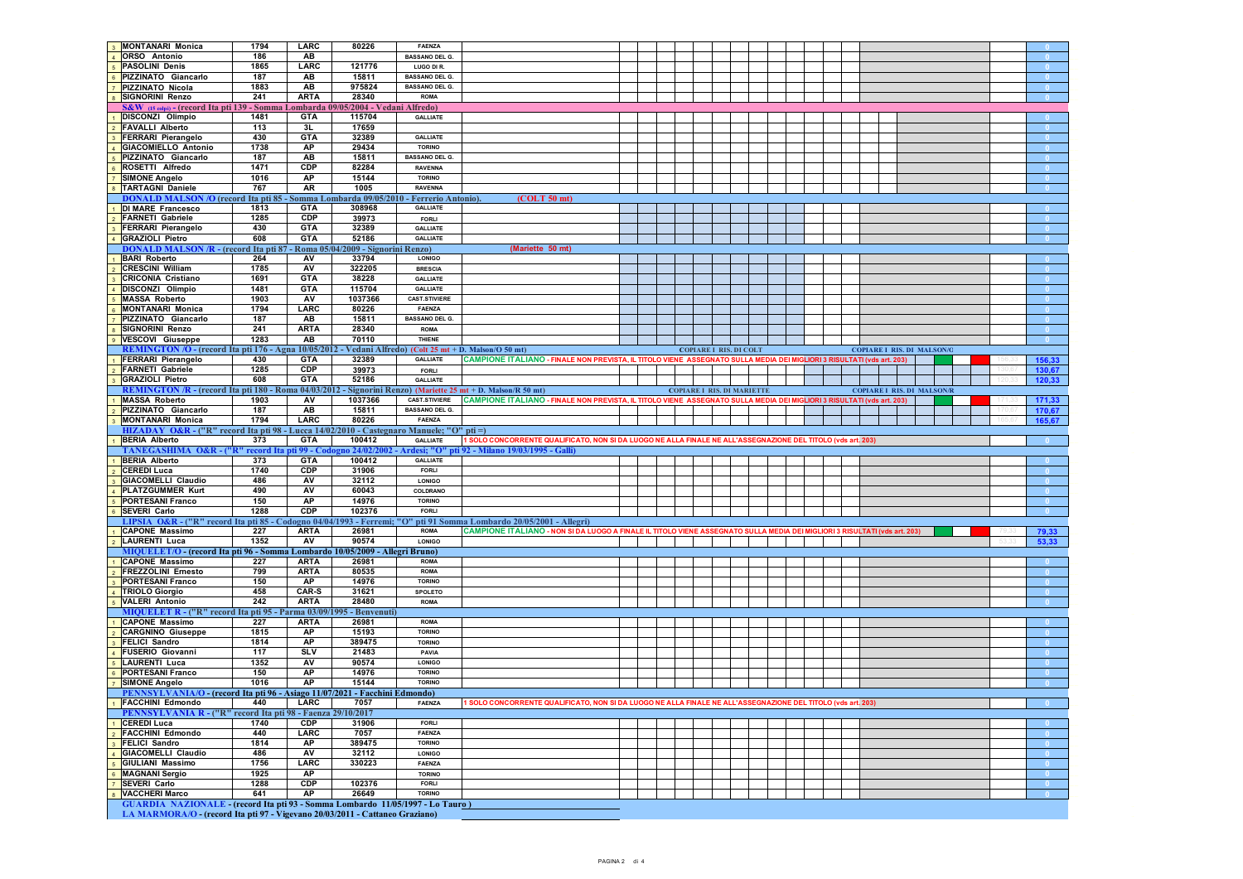| <b>MONTANARI Monica</b>                                                                  | 1794      | LARC        | 80226                              | <b>FAENZA</b>                                                          |                                                                                                                           |  |                                   |  |  |  |                                   |  |  |        |
|------------------------------------------------------------------------------------------|-----------|-------------|------------------------------------|------------------------------------------------------------------------|---------------------------------------------------------------------------------------------------------------------------|--|-----------------------------------|--|--|--|-----------------------------------|--|--|--------|
| <b>ORSO</b> Antonio                                                                      | 186       | AB          |                                    | <b>BASSANO DEL G</b>                                                   |                                                                                                                           |  |                                   |  |  |  |                                   |  |  |        |
| <b>PASOLINI Denis</b>                                                                    | 1865      | LARC        | 121776                             | LUGO DI R.                                                             |                                                                                                                           |  |                                   |  |  |  |                                   |  |  |        |
| PIZZINATO Giancarlo                                                                      | 187       | AB          | 15811                              | <b>BASSANO DEL G.</b>                                                  |                                                                                                                           |  |                                   |  |  |  |                                   |  |  |        |
| PIZZINATO Nicola                                                                         | 1883      | AB          | 975824                             | <b>BASSANO DEL G.</b>                                                  |                                                                                                                           |  |                                   |  |  |  |                                   |  |  |        |
| <b>SIGNORINI Renzo</b>                                                                   | 241       | <b>ARTA</b> | 28340                              | <b>ROMA</b>                                                            |                                                                                                                           |  |                                   |  |  |  |                                   |  |  |        |
|                                                                                          |           |             |                                    |                                                                        |                                                                                                                           |  |                                   |  |  |  |                                   |  |  |        |
| S&W (15 colpi) - (record Ita pti 139 - Somma Lombarda 09/05/2004 - Vedani Alfredo)       |           |             |                                    |                                                                        |                                                                                                                           |  |                                   |  |  |  |                                   |  |  |        |
| DISCONZI Olimpio                                                                         | 1481      | <b>GTA</b>  | 115704                             | <b>GALLIATE</b>                                                        |                                                                                                                           |  |                                   |  |  |  |                                   |  |  |        |
| <b>FAVALLI Alberto</b>                                                                   | 113       | 3L          | 17659                              |                                                                        |                                                                                                                           |  |                                   |  |  |  |                                   |  |  |        |
| <b>FERRARI Pierangelo</b>                                                                | 430       | <b>GTA</b>  | 32389                              | <b>GALLIATE</b>                                                        |                                                                                                                           |  |                                   |  |  |  |                                   |  |  |        |
| <b>GIACOMIELLO Antonio</b>                                                               | 1738      | AP          | 29434                              | <b>TORINO</b>                                                          |                                                                                                                           |  |                                   |  |  |  |                                   |  |  |        |
| PIZZINATO Giancarlo                                                                      | 187       | AB          | 15811                              | <b>BASSANO DEL G.</b>                                                  |                                                                                                                           |  |                                   |  |  |  |                                   |  |  |        |
| ROSETTI Alfredo                                                                          | 1471      | CDP         | 82284                              | <b>RAVENNA</b>                                                         |                                                                                                                           |  |                                   |  |  |  |                                   |  |  |        |
| <b>SIMONE Angelo</b>                                                                     | 1016      | AP          | 15144                              | <b>TORINO</b>                                                          |                                                                                                                           |  |                                   |  |  |  |                                   |  |  |        |
|                                                                                          |           |             |                                    |                                                                        |                                                                                                                           |  |                                   |  |  |  |                                   |  |  |        |
| <b>TARTAGNI Daniele</b>                                                                  | 767       | AR          | 1005                               | <b>RAVENNA</b>                                                         |                                                                                                                           |  |                                   |  |  |  |                                   |  |  |        |
| <b>DONALD MALSON</b>                                                                     |           |             |                                    | /O (record Ita pti 85 - Somma Lombarda 09/05/2010 - Ferrerio Antonio). | (COLT 50 mt)                                                                                                              |  |                                   |  |  |  |                                   |  |  |        |
| <b>DI MARE Francesco</b>                                                                 | 1813      | <b>GTA</b>  | 308968                             | <b>GALLIATE</b>                                                        |                                                                                                                           |  |                                   |  |  |  |                                   |  |  |        |
| <b>FARNETI Gabriele</b>                                                                  | 1285      | CP          | 39973                              | <b>FORLI</b>                                                           |                                                                                                                           |  |                                   |  |  |  |                                   |  |  |        |
| <b>FERRARI Pierangelo</b>                                                                | 430       | <b>GTA</b>  | 32389                              | <b>GALLIATE</b>                                                        |                                                                                                                           |  |                                   |  |  |  |                                   |  |  |        |
| <b>GRAZIOLI Pietro</b>                                                                   | 608       | <b>GTA</b>  | 52186                              | <b>GALLIATE</b>                                                        |                                                                                                                           |  |                                   |  |  |  |                                   |  |  |        |
| <b>DONALD MALSON/R - (record Ita pti 87</b>                                              |           |             | Roma 05/04/2009 - Signorini Renzo) |                                                                        | (Mariette 50 mt)                                                                                                          |  |                                   |  |  |  |                                   |  |  |        |
| <b>BARI Roberto</b>                                                                      | 264       | AV          | 33794                              | <b>LONIGO</b>                                                          |                                                                                                                           |  |                                   |  |  |  |                                   |  |  |        |
|                                                                                          |           |             |                                    |                                                                        |                                                                                                                           |  |                                   |  |  |  |                                   |  |  |        |
| <b>CRESCINI William</b>                                                                  | 1785      | AV          | 322205                             | <b>BRESCIA</b>                                                         |                                                                                                                           |  |                                   |  |  |  |                                   |  |  |        |
| <b>CRICONIA Cristiano</b>                                                                | 1691      | <b>GTA</b>  | 38228                              | <b>GALLIATE</b>                                                        |                                                                                                                           |  |                                   |  |  |  |                                   |  |  |        |
| DISCONZI Olimpio                                                                         | 1481      | <b>GTA</b>  | 115704                             | <b>GALLIATE</b>                                                        |                                                                                                                           |  |                                   |  |  |  |                                   |  |  |        |
| <b>MASSA Roberto</b>                                                                     | 1903      | AV          | 1037366                            | <b>CAST.STIVIERE</b>                                                   |                                                                                                                           |  |                                   |  |  |  |                                   |  |  |        |
| <b>MONTANARI Monica</b>                                                                  | 1794      | LARC        | 80226                              | FAENZA                                                                 |                                                                                                                           |  |                                   |  |  |  |                                   |  |  |        |
| PIZZINATO Giancarlo                                                                      | 187       | AB          | 15811                              | <b>BASSANO DEL G.</b>                                                  |                                                                                                                           |  |                                   |  |  |  |                                   |  |  |        |
| <b>SIGNORINI Renzo</b>                                                                   | 241       | <b>ARTA</b> | 28340                              | <b>ROMA</b>                                                            |                                                                                                                           |  |                                   |  |  |  |                                   |  |  | - 0    |
| <b>VESCOVI Giuseppe</b>                                                                  | 1283      | AB          | 70110                              | THIENE                                                                 |                                                                                                                           |  |                                   |  |  |  |                                   |  |  |        |
|                                                                                          |           |             |                                    |                                                                        |                                                                                                                           |  |                                   |  |  |  |                                   |  |  |        |
| REMINGTON /O - (record Ita pti 176 - Agna 10/05/2012)                                    |           |             |                                    |                                                                        | Vedani Alfredo) (Colt 25 mt + D. Malson/O 50 mt)                                                                          |  | <b>COPIARE I RIS. DI COLT</b>     |  |  |  | <b>COPIARE I RIS. DI MALSON/C</b> |  |  |        |
| <b>FERRARI Pierangelo</b>                                                                | 430       | <b>GTA</b>  | 32389                              | <b>GALLIATE</b>                                                        | CAMPIONE ITALIANO - FINALE NON PREVISTA, IL TITOLO VIENE ASSEGNATO SULLA MEDIA DEI MIGLIORI 3 RISULTATI (vds art. 203)    |  |                                   |  |  |  |                                   |  |  | 156,33 |
| <b>FARNETI Gabriele</b>                                                                  | 1285      | CDP         | 39973                              | <b>FORLI</b>                                                           |                                                                                                                           |  |                                   |  |  |  |                                   |  |  | 130.67 |
| <b>GRAZIOLI Pietro</b>                                                                   | 608       | <b>GTA</b>  | 52186                              | <b>GALLIATE</b>                                                        |                                                                                                                           |  |                                   |  |  |  |                                   |  |  | 120,33 |
| REMINGTON /R - (record Ita pti 180 - Roma 04/03/2012                                     |           |             |                                    |                                                                        | Signorini Renzo) (Mariette 25 mt + D. Malson/R 50 mt)                                                                     |  | <b>COPIARE I RIS. DI MARIETTE</b> |  |  |  | <b>COPIARE I RIS. DI MALSON/R</b> |  |  |        |
| <b>MASSA Roberto</b>                                                                     | 1903      | AV          | 1037366                            | <b>CAST.STIVIERE</b>                                                   | CAMPIONE ITALIANO - FINALE NON PREVISTA, IL TITOLO VIENE ASSEGNATO SULLA MEDIA DEI MIGLIORI 3 RISULTATI (vds art. 203)    |  |                                   |  |  |  |                                   |  |  | 171,33 |
| PIZZINATO Giancarlo                                                                      | 187       | AB          | 15811                              | <b>BASSANO DEL G.</b>                                                  |                                                                                                                           |  |                                   |  |  |  |                                   |  |  | 170,67 |
| <b>MONTANARI Monica</b>                                                                  | 1794      | LARC        | 80226                              | FAENZA                                                                 |                                                                                                                           |  |                                   |  |  |  |                                   |  |  | 165,67 |
|                                                                                          |           |             |                                    |                                                                        |                                                                                                                           |  |                                   |  |  |  |                                   |  |  |        |
|                                                                                          |           |             |                                    |                                                                        |                                                                                                                           |  |                                   |  |  |  |                                   |  |  |        |
| HIZADAY O&R - ("R" record Ita pti 98 - Lucca 14/02/2010 - Castegnaro Manuele; "O" pti =) |           |             |                                    |                                                                        |                                                                                                                           |  |                                   |  |  |  |                                   |  |  |        |
| <b>BERIA Alberto</b>                                                                     | 373       | <b>GTA</b>  | 100412                             | <b>GALLIATE</b>                                                        | 1 SOLO CONCORRENTE QUALIFICATO, NON SI DA LUOGO NE ALLA FINALE NE ALL'ASSEGNAZIONE DEL TITOLO (vds art. 203)              |  |                                   |  |  |  |                                   |  |  |        |
| TANEGASHIMA O&R-("R"                                                                     | record It |             | ti 99 - Codogno 24/02/20           |                                                                        | 2 - Ardesi; "O" pti 92 - Milano 19/03/1995 - Gall                                                                         |  |                                   |  |  |  |                                   |  |  |        |
| <b>BERIA Alberto</b>                                                                     | 373       | <b>GTA</b>  | 100412                             | <b>GALLIATE</b>                                                        |                                                                                                                           |  |                                   |  |  |  |                                   |  |  |        |
| <b>CEREDI Luca</b>                                                                       | 1740      | <b>CDP</b>  | 31906                              | FORLI                                                                  |                                                                                                                           |  |                                   |  |  |  |                                   |  |  |        |
| <b>GIACOMELLI Claudio</b>                                                                | 486       | AV          | 32112                              | <b>LONIGO</b>                                                          |                                                                                                                           |  |                                   |  |  |  |                                   |  |  |        |
|                                                                                          |           |             |                                    | COLDRANO                                                               |                                                                                                                           |  |                                   |  |  |  |                                   |  |  |        |
| PLATZGUMMER Kurt                                                                         | 490       | AV          | 60043                              |                                                                        |                                                                                                                           |  |                                   |  |  |  |                                   |  |  |        |
| <b>PORTESANI Franco</b>                                                                  | 150       | AP          | 14976                              | <b>TORINO</b>                                                          |                                                                                                                           |  |                                   |  |  |  |                                   |  |  |        |
| <b>SEVERI Carlo</b>                                                                      | 1288      | CDP         | 102376                             | <b>FORLI</b>                                                           |                                                                                                                           |  |                                   |  |  |  |                                   |  |  |        |
|                                                                                          |           |             |                                    |                                                                        | LIPSIA O&R - ("R" record Ita pti 85 - Codogno 04/04/1993 - Ferremi; "O" pti 91 Somma Lombardo 20/05/2001 - Allegri)       |  |                                   |  |  |  |                                   |  |  |        |
| <b>CAPONE Massimo</b>                                                                    | 227       | <b>ARTA</b> | 26981                              | <b>ROMA</b>                                                            | CAMPIONE ITALIANO - NON SI DA LUOGO A FINALE IL TITOLO VIENE ASSEGNATO SULLA MEDIA DEI MIGLIORI 3 RISULTATI (vds art. 20: |  |                                   |  |  |  |                                   |  |  | 79,33  |
| <b>LAURENTI Luca</b>                                                                     | 1352      | AV          | 90574                              | <b>LONIGO</b>                                                          |                                                                                                                           |  |                                   |  |  |  |                                   |  |  | 53,33  |
| MIQUELET/O - (record Ita pti 96 - Somma Lombardo 10/05/2009 - Allegri Bruno)             |           |             |                                    |                                                                        |                                                                                                                           |  |                                   |  |  |  |                                   |  |  |        |
| <b>CAPONE Massimo</b>                                                                    | 227       | <b>ARTA</b> | 26981                              | <b>ROMA</b>                                                            |                                                                                                                           |  |                                   |  |  |  |                                   |  |  |        |
| FREZZOLINI Ernesto                                                                       | 799       | <b>ARTA</b> | 80535                              | <b>ROMA</b>                                                            |                                                                                                                           |  |                                   |  |  |  |                                   |  |  |        |
| <b>PORTESANI Franco</b>                                                                  | 150       | AP          | 14976                              | <b>TORINO</b>                                                          |                                                                                                                           |  |                                   |  |  |  |                                   |  |  |        |
|                                                                                          |           |             |                                    |                                                                        |                                                                                                                           |  |                                   |  |  |  |                                   |  |  |        |
| <b>TRIOLO Giorgio</b>                                                                    | 458       | CAR-S       | 31621                              | SPOLETO                                                                |                                                                                                                           |  |                                   |  |  |  |                                   |  |  |        |
| <b>VALERI Antonio</b>                                                                    | 242       | <b>ARTA</b> | 28480                              | <b>ROMA</b>                                                            |                                                                                                                           |  |                                   |  |  |  |                                   |  |  |        |
| MIQUELET R - ("R" record Ita pti 95 - Parma 03/09/1995 - Benvenuti)                      |           |             |                                    |                                                                        |                                                                                                                           |  |                                   |  |  |  |                                   |  |  |        |
| <b>CAPONE Massimo</b>                                                                    | 227       | <b>ARTA</b> | 26981                              | <b>ROMA</b>                                                            |                                                                                                                           |  |                                   |  |  |  |                                   |  |  |        |
| <b>CARGNINO Giuseppe</b>                                                                 | 1815      | AP          | 15193                              | <b>TORINO</b>                                                          |                                                                                                                           |  |                                   |  |  |  |                                   |  |  |        |
| <b>FELICI Sandro</b>                                                                     | 1814      | AP          | 389475                             | <b>TORINO</b>                                                          |                                                                                                                           |  |                                   |  |  |  |                                   |  |  |        |
| FUSERIO Giovanni                                                                         | 117       | <b>SLV</b>  | 21483                              | <b>PAVIA</b>                                                           |                                                                                                                           |  |                                   |  |  |  |                                   |  |  |        |
| <b>LAURENTI Luca</b>                                                                     | 1352      | AV          | 90574                              | <b>LONIGO</b>                                                          |                                                                                                                           |  |                                   |  |  |  |                                   |  |  |        |
|                                                                                          |           |             |                                    |                                                                        |                                                                                                                           |  |                                   |  |  |  |                                   |  |  |        |
| <b>PORTESANI Franco</b>                                                                  | 150       | AP          | 14976                              | <b>TORINO</b>                                                          |                                                                                                                           |  |                                   |  |  |  |                                   |  |  |        |
| <b>SIMONE Angelo</b>                                                                     | 1016      | AP          | 15144                              | <b>TORINO</b>                                                          |                                                                                                                           |  |                                   |  |  |  |                                   |  |  |        |
| PENNSYLVANIA/O - (record Ita pti 96 - Asiago 11/07/2021 - Facchini Edmondo)              |           |             |                                    |                                                                        |                                                                                                                           |  |                                   |  |  |  |                                   |  |  |        |
|                                                                                          | 440       |             |                                    |                                                                        |                                                                                                                           |  |                                   |  |  |  |                                   |  |  |        |
| PENNSYLVANIA R - ("R" record Ita pti 98 - Faenza 29/10/2017                              |           |             |                                    |                                                                        |                                                                                                                           |  |                                   |  |  |  |                                   |  |  |        |
| <b>CEREDI Luca</b>                                                                       | 1740      | CDP         | 31906                              | FORLI                                                                  |                                                                                                                           |  |                                   |  |  |  |                                   |  |  |        |
| 2 FACCHINI Edmondo                                                                       | 440       | LARC        | 7057                               | <b>FAENZA</b>                                                          |                                                                                                                           |  |                                   |  |  |  |                                   |  |  | n      |
|                                                                                          |           |             |                                    |                                                                        |                                                                                                                           |  |                                   |  |  |  |                                   |  |  |        |
| <b>FELICI Sandro</b>                                                                     | 1814      | <b>AP</b>   | 389475                             | <b>TORINO</b>                                                          |                                                                                                                           |  |                                   |  |  |  |                                   |  |  |        |
| <b>GIACOMELLI Claudio</b>                                                                | 486       | AV          | 32112                              | <b>LONIGO</b>                                                          |                                                                                                                           |  |                                   |  |  |  |                                   |  |  |        |
| <b>GIULIANI</b> Massimo                                                                  | 1756      | <b>LARC</b> | 330223                             | <b>FAENZA</b>                                                          |                                                                                                                           |  |                                   |  |  |  |                                   |  |  | - 0    |
| <b>MAGNANI Sergio</b>                                                                    | 1925      | AP          |                                    | <b>TORINO</b>                                                          |                                                                                                                           |  |                                   |  |  |  |                                   |  |  |        |
| <b>SEVERI Carlo</b>                                                                      | 1288      | CDP         | 102376                             | <b>FORLI</b>                                                           |                                                                                                                           |  |                                   |  |  |  |                                   |  |  |        |
| <b>VACCHERI Marco</b>                                                                    | 641       | AP          | 26649                              | <b>TORINO</b>                                                          |                                                                                                                           |  |                                   |  |  |  |                                   |  |  |        |
| GUARDIA NAZIONALE - (record Ita pti 93 - Somma Lombardo 11/05/1997 - Lo Tauro)           |           |             |                                    |                                                                        |                                                                                                                           |  |                                   |  |  |  |                                   |  |  |        |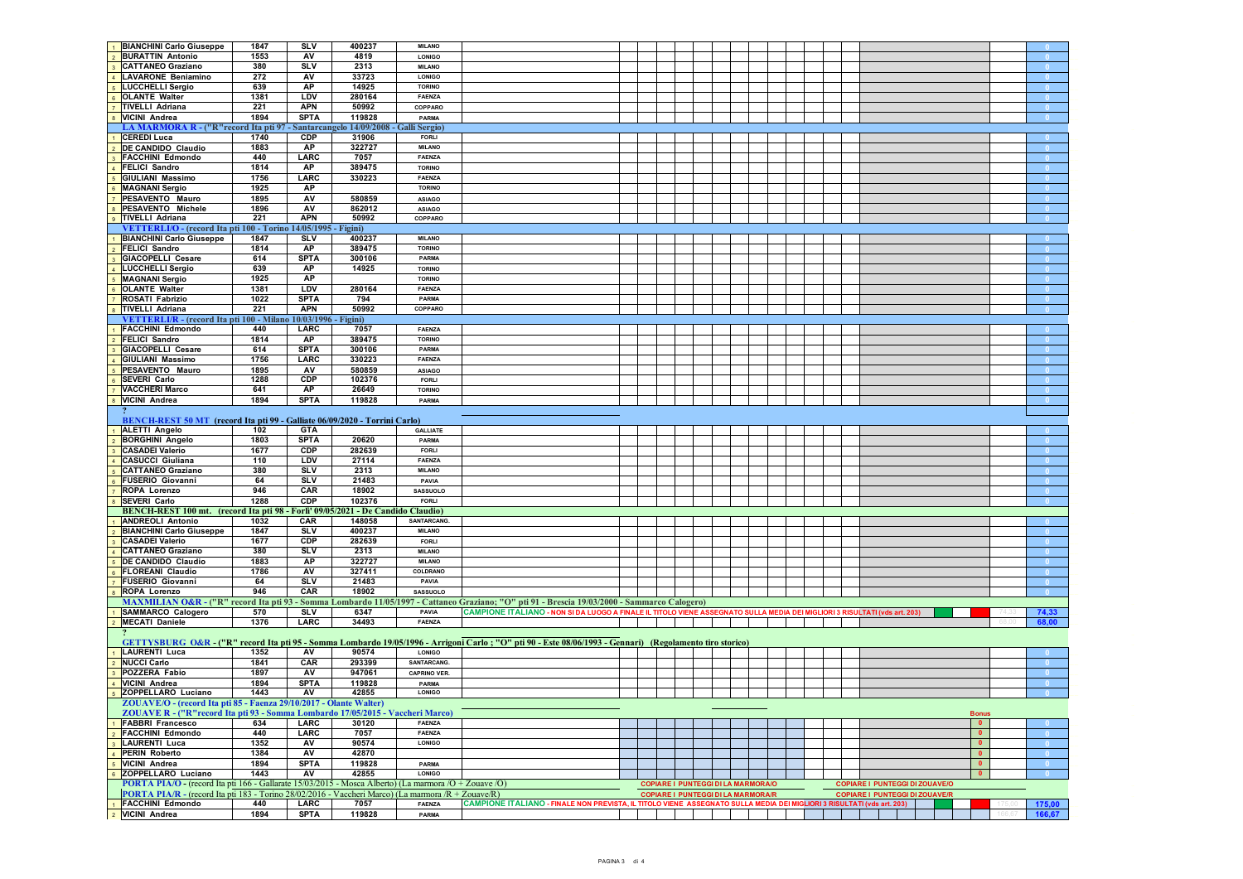| <b>BIANCHINI Carlo Giuseppe</b>                                                                                                  | 1847        | SLV                 | 400237                                  | <b>MILANO</b>          |                                                                                                                                                        |  |                                           |  |  |                                       |                  |
|----------------------------------------------------------------------------------------------------------------------------------|-------------|---------------------|-----------------------------------------|------------------------|--------------------------------------------------------------------------------------------------------------------------------------------------------|--|-------------------------------------------|--|--|---------------------------------------|------------------|
| <b>BURATTIN Antonio</b>                                                                                                          | 1553        | AV                  | 4819                                    | <b>LONIGO</b>          |                                                                                                                                                        |  |                                           |  |  |                                       |                  |
| <b>CATTANEO Graziano</b>                                                                                                         | 380         | <b>SLV</b>          | 2313                                    | <b>MILANO</b>          |                                                                                                                                                        |  |                                           |  |  |                                       |                  |
| <b>LAVARONE Beniamino</b>                                                                                                        | 272         | AV                  | 33723                                   | <b>LONIGO</b>          |                                                                                                                                                        |  |                                           |  |  |                                       |                  |
| LUCCHELLI Sergio                                                                                                                 | 639         | AP                  | 14925                                   | <b>TORINO</b>          |                                                                                                                                                        |  |                                           |  |  |                                       |                  |
| <b>OLANTE Walter</b>                                                                                                             | 1381        | <b>LDV</b>          | 280164                                  | <b>FAENZA</b>          |                                                                                                                                                        |  |                                           |  |  |                                       |                  |
| 7 TIVELLI Adriana                                                                                                                | 221         | <b>APN</b>          | 50992                                   | COPPARO                |                                                                                                                                                        |  |                                           |  |  |                                       |                  |
|                                                                                                                                  | 1894        | <b>SPTA</b>         |                                         |                        |                                                                                                                                                        |  |                                           |  |  |                                       |                  |
| 8 VICINI Andrea                                                                                                                  |             |                     | 119828                                  | PARMA                  |                                                                                                                                                        |  |                                           |  |  |                                       |                  |
| LA MARMORA R - ("R"record Ita pti 97 - Santarcangelo 14/09/2008 - Galli Sergio)                                                  |             |                     |                                         |                        |                                                                                                                                                        |  |                                           |  |  |                                       |                  |
| <b>CEREDI Luca</b>                                                                                                               | 1740        | <b>CDP</b>          | 31906                                   | <b>FORLI</b>           |                                                                                                                                                        |  |                                           |  |  |                                       |                  |
| DE CANDIDO Claudio                                                                                                               | 1883        | AP                  | 322727                                  | <b>MILANO</b>          |                                                                                                                                                        |  |                                           |  |  |                                       |                  |
| <b>FACCHINI Edmondo</b>                                                                                                          | 440         | LARC                | 7057                                    | <b>FAENZA</b>          |                                                                                                                                                        |  |                                           |  |  |                                       |                  |
| <b>FELICI Sandro</b>                                                                                                             | 1814        | <b>AP</b>           | 389475                                  | <b>TORINO</b>          |                                                                                                                                                        |  |                                           |  |  |                                       |                  |
| <b>GIULIANI Massimo</b>                                                                                                          | 1756        | LARC                | 330223                                  | <b>FAENZA</b>          |                                                                                                                                                        |  |                                           |  |  |                                       |                  |
| <b>MAGNANI Sergio</b>                                                                                                            | 1925        | AP                  |                                         | <b>TORINO</b>          |                                                                                                                                                        |  |                                           |  |  |                                       |                  |
|                                                                                                                                  |             |                     |                                         |                        |                                                                                                                                                        |  |                                           |  |  |                                       |                  |
| PESAVENTO Mauro                                                                                                                  | 1895        | AV                  | 580859                                  | <b>ASIAGO</b>          |                                                                                                                                                        |  |                                           |  |  |                                       |                  |
| PESAVENTO Michele                                                                                                                | 1896        | AV                  | 862012                                  | <b>ASIAGO</b>          |                                                                                                                                                        |  |                                           |  |  |                                       |                  |
| TIVELLI Adriana                                                                                                                  | 221         | <b>APN</b>          | 50992                                   | COPPARO                |                                                                                                                                                        |  |                                           |  |  |                                       |                  |
| VETTERLI/O - (record Ita pti 100 - Torino 14/05/1995 - Figini)                                                                   |             |                     |                                         |                        |                                                                                                                                                        |  |                                           |  |  |                                       |                  |
| <b>BIANCHINI Carlo Giuseppe</b>                                                                                                  | 1847        | <b>SLV</b>          | 400237                                  | <b>MILANO</b>          |                                                                                                                                                        |  |                                           |  |  |                                       |                  |
| FELICI Sandro                                                                                                                    | 1814        | АP                  | 389475                                  | <b>TORINO</b>          |                                                                                                                                                        |  |                                           |  |  |                                       |                  |
| <b>GIACOPELLI Cesare</b>                                                                                                         | 614         | <b>SPTA</b>         | 300106                                  | PARMA                  |                                                                                                                                                        |  |                                           |  |  |                                       |                  |
|                                                                                                                                  |             |                     |                                         |                        |                                                                                                                                                        |  |                                           |  |  |                                       |                  |
| LUCCHELLI Sergio                                                                                                                 | 639         | AP                  | 14925                                   | <b>TORINO</b>          |                                                                                                                                                        |  |                                           |  |  |                                       |                  |
| <b>MAGNANI Sergio</b>                                                                                                            | 1925        | AP                  |                                         | <b>TORINO</b>          |                                                                                                                                                        |  |                                           |  |  |                                       |                  |
| <b>OLANTE Walter</b>                                                                                                             | 1381        | <b>LDV</b>          | 280164                                  | <b>FAENZA</b>          |                                                                                                                                                        |  |                                           |  |  |                                       |                  |
| ROSATI Fabrizio                                                                                                                  | 1022        | <b>SPTA</b>         | 794                                     | PARMA                  |                                                                                                                                                        |  |                                           |  |  |                                       |                  |
| <b>TIVELLI</b> Adriana                                                                                                           | 221         | <b>APN</b>          | 50992                                   | COPPARO                |                                                                                                                                                        |  |                                           |  |  |                                       |                  |
| VETTERLI/R - (record Ita pti 100 - Milano 10/03/1996 - Figini)                                                                   |             |                     |                                         |                        |                                                                                                                                                        |  |                                           |  |  |                                       |                  |
| <b>FACCHINI Edmondo</b>                                                                                                          |             | LARC                |                                         | <b>FAENZA</b>          |                                                                                                                                                        |  |                                           |  |  |                                       |                  |
|                                                                                                                                  | 440         |                     | 7057                                    |                        |                                                                                                                                                        |  |                                           |  |  |                                       |                  |
| <b>FELICI Sandro</b>                                                                                                             | 1814        | <b>AP</b>           | 389475                                  | <b>TORINO</b>          |                                                                                                                                                        |  |                                           |  |  |                                       |                  |
| GIACOPELLI Cesare                                                                                                                | 614         | <b>SPTA</b>         | 300106                                  | PARMA                  |                                                                                                                                                        |  |                                           |  |  |                                       |                  |
| <b>GIULIANI Massimo</b>                                                                                                          | 1756        | LARC                | 330223                                  | <b>FAENZA</b>          |                                                                                                                                                        |  |                                           |  |  |                                       |                  |
| PESAVENTO Mauro                                                                                                                  | 1895        | AV                  | 580859                                  | <b>ASIAGO</b>          |                                                                                                                                                        |  |                                           |  |  |                                       |                  |
| SEVERI Carlo                                                                                                                     | 1288        | CDP                 | 102376                                  | <b>FORLI</b>           |                                                                                                                                                        |  |                                           |  |  |                                       |                  |
| <b>VACCHERI Marco</b>                                                                                                            | 641         | AP                  | 26649                                   | <b>TORINO</b>          |                                                                                                                                                        |  |                                           |  |  |                                       |                  |
|                                                                                                                                  |             |                     |                                         |                        |                                                                                                                                                        |  |                                           |  |  |                                       |                  |
| VICINI Andrea                                                                                                                    | 1894        | <b>SPTA</b>         | 119828                                  | PARMA                  |                                                                                                                                                        |  |                                           |  |  |                                       |                  |
|                                                                                                                                  |             |                     |                                         |                        |                                                                                                                                                        |  |                                           |  |  |                                       |                  |
| BENCH-REST 50 MT (record Ita pti 99 - Galliate 06/09/2020 - Torrini Carlo)                                                       |             |                     |                                         |                        |                                                                                                                                                        |  |                                           |  |  |                                       |                  |
| <b>ALETTI Angelo</b>                                                                                                             | 102         | <b>GTA</b>          |                                         | <b>GALLIATE</b>        |                                                                                                                                                        |  |                                           |  |  |                                       |                  |
| <b>BORGHINI Angelo</b>                                                                                                           | 1803        | <b>SPTA</b>         | 20620                                   | PARMA                  |                                                                                                                                                        |  |                                           |  |  |                                       |                  |
| <b>CASADEI Valerio</b>                                                                                                           | 1677        | <b>CDP</b>          | 282639                                  | <b>FORLI</b>           |                                                                                                                                                        |  |                                           |  |  |                                       |                  |
| <b>CASUCCI Giuliana</b>                                                                                                          | 110         | <b>LDV</b>          | 27114                                   | <b>FAENZA</b>          |                                                                                                                                                        |  |                                           |  |  |                                       |                  |
|                                                                                                                                  |             |                     |                                         |                        |                                                                                                                                                        |  |                                           |  |  |                                       |                  |
| <b>CATTANEO Graziano</b>                                                                                                         | 380         | <b>SLV</b>          | 2313                                    | <b>MILANO</b>          |                                                                                                                                                        |  |                                           |  |  |                                       |                  |
| <b>FUSERIO Giovanni</b>                                                                                                          | 64          | <b>SLV</b>          | 21483                                   | PAVIA                  |                                                                                                                                                        |  |                                           |  |  |                                       |                  |
| ROPA Lorenzo                                                                                                                     | 946         | CAR                 | 18902                                   | <b>SASSUOLO</b>        |                                                                                                                                                        |  |                                           |  |  |                                       |                  |
| <b>SEVERI Carlo</b>                                                                                                              | 1288        | <b>CDP</b>          | 102376                                  | <b>FORLI</b>           |                                                                                                                                                        |  |                                           |  |  |                                       |                  |
| BENCH-REST 100 mt. (record Ita pti 98                                                                                            |             |                     | Forlì' 09/05/2021 - De Candido Claudio) |                        |                                                                                                                                                        |  |                                           |  |  |                                       |                  |
| <b>ANDREOLI Antonio</b>                                                                                                          | 1032        | CAR                 | 148058                                  | SANTARCANG.            |                                                                                                                                                        |  |                                           |  |  |                                       |                  |
| <b>BIANCHINI Carlo Giuseppe</b>                                                                                                  | 1847        | <b>SLV</b>          | 400237                                  | <b>MILANO</b>          |                                                                                                                                                        |  |                                           |  |  |                                       |                  |
|                                                                                                                                  |             | CDP                 | 282639                                  | <b>FORLI</b>           |                                                                                                                                                        |  |                                           |  |  |                                       |                  |
| 3 CASADEI Valerio                                                                                                                | 1677        |                     |                                         |                        |                                                                                                                                                        |  |                                           |  |  |                                       |                  |
| CATTANEO Graziano                                                                                                                | 380         | <b>SLV</b>          | 2313                                    | <b>MILANO</b>          |                                                                                                                                                        |  |                                           |  |  |                                       |                  |
| DE CANDIDO Claudio                                                                                                               | 1883        | AP                  | 322727                                  | <b>MILANO</b>          |                                                                                                                                                        |  |                                           |  |  |                                       |                  |
| <b>FLOREANI Claudio</b>                                                                                                          | 1786        | AV                  | 327411                                  | COLDRANO               |                                                                                                                                                        |  |                                           |  |  |                                       |                  |
|                                                                                                                                  |             |                     |                                         |                        |                                                                                                                                                        |  |                                           |  |  |                                       |                  |
| <b>FUSERIO Giovanni</b>                                                                                                          | 64          | <b>SLV</b>          | 21483                                   | <b>PAVIA</b>           |                                                                                                                                                        |  |                                           |  |  |                                       |                  |
|                                                                                                                                  |             |                     |                                         |                        |                                                                                                                                                        |  |                                           |  |  |                                       |                  |
| ROPA Lorenzo                                                                                                                     | 946         | CAR                 | 18902                                   | <b>SASSUOLO</b>        |                                                                                                                                                        |  |                                           |  |  |                                       |                  |
|                                                                                                                                  |             |                     |                                         |                        | MAXMILIAN O&R - ("R" record Ita pti 93 - Somma Lombardo 11/05/1997 - Cattaneo Graziano; "O" pti 91 - Brescia 19/03/2000 - Sammarco Calogero)           |  |                                           |  |  |                                       |                  |
| <b>SAMMARCO Calogero</b>                                                                                                         | 570         | <b>SLV</b>          | 6347                                    | PAVIA                  | CAMPIONE ITALIANO - NON SI DA LUOGO A FINALE IL TITOLO VIENE ASSEGNATO SULLA MEDIA DEI MIGLIORI 3 RISULTATI (vds art. 203)                             |  |                                           |  |  |                                       | 74,3             |
| <b>MECATI Daniele</b>                                                                                                            | 1376        | <b>LARC</b>         | 34493                                   | <b>FAENZA</b>          |                                                                                                                                                        |  |                                           |  |  |                                       | 68,00            |
|                                                                                                                                  |             |                     |                                         |                        |                                                                                                                                                        |  |                                           |  |  |                                       |                  |
|                                                                                                                                  |             |                     |                                         |                        |                                                                                                                                                        |  |                                           |  |  |                                       |                  |
|                                                                                                                                  |             |                     |                                         | <b>LONIGO</b>          | GETTYSBURG O&R ("R" record Ita pti 95 - Somma Lombardo 19/05/1996 - Arrigoni Carlo; "O" pti 90 - Este 08/06/1993 - Gennari) (Regolamento tiro storico) |  |                                           |  |  |                                       |                  |
| <b>LAURENTI Luca</b>                                                                                                             | 1352        | AV                  | 90574                                   |                        |                                                                                                                                                        |  |                                           |  |  |                                       |                  |
| <b>NUCCI Carlo</b>                                                                                                               | 1841        | CAR                 | 293399                                  | SANTARCANG.            |                                                                                                                                                        |  |                                           |  |  |                                       |                  |
| <b>POZZERA Fabio</b>                                                                                                             | 1897        | AV                  | 947061                                  | <b>CAPRINO VER.</b>    |                                                                                                                                                        |  |                                           |  |  |                                       |                  |
|                                                                                                                                  | 1894        | <b>SPTA</b>         | 119828                                  | PARMA                  |                                                                                                                                                        |  |                                           |  |  |                                       |                  |
|                                                                                                                                  | 1443        | AV                  | 42855                                   | <b>LONIGO</b>          |                                                                                                                                                        |  |                                           |  |  |                                       |                  |
|                                                                                                                                  |             |                     |                                         |                        |                                                                                                                                                        |  |                                           |  |  |                                       |                  |
| ZOUAVE/O - (record Ita pti 85 - Faenza 29/10/2017 - Olante Walter)                                                               |             |                     |                                         |                        |                                                                                                                                                        |  |                                           |  |  |                                       |                  |
| ZOUAVE R - ("R" record Ita pti 93 - Somma Lombardo 17/05/2015 - Vaccheri Marco)                                                  |             |                     |                                         |                        |                                                                                                                                                        |  |                                           |  |  | <b>Bonus</b>                          |                  |
| <b>FABBRI Francesco</b>                                                                                                          | 634         | LARC                | 30120                                   | <b>FAENZA</b>          |                                                                                                                                                        |  |                                           |  |  | $\bullet$                             |                  |
| <b>FACCHINI Edmondo</b>                                                                                                          | 440         | LARC                | 7057                                    | FAENZA                 |                                                                                                                                                        |  |                                           |  |  | $\bullet$                             | - 0              |
| <b>LAURENTI Luca</b>                                                                                                             | 1352        | AV                  | 90574                                   | <b>LONIGO</b>          |                                                                                                                                                        |  |                                           |  |  | $\bullet$                             |                  |
|                                                                                                                                  | 1384        | AV                  | 42870                                   |                        |                                                                                                                                                        |  |                                           |  |  | $\bullet$                             |                  |
|                                                                                                                                  | 1894        | <b>SPTA</b>         | 119828                                  | PARMA                  |                                                                                                                                                        |  |                                           |  |  | $\bullet$                             | $\overline{0}$   |
|                                                                                                                                  |             |                     |                                         | <b>LONIGO</b>          |                                                                                                                                                        |  |                                           |  |  | $\bullet$                             |                  |
| ZOPPELLARO Luciano                                                                                                               | 1443        | AV                  | 42855                                   |                        |                                                                                                                                                        |  |                                           |  |  |                                       |                  |
| PORTA PIA/O - (record Ita pti 166 - Gallarate 15/03/2015 - Mosca Alberto) (La marmora /O + Zouave /O)                            |             |                     |                                         |                        |                                                                                                                                                        |  | <b>COPIARE I PUNTEGGI DI LA MARMORA/O</b> |  |  | <b>COPIARE I PUNTEGGI DI ZOUAVE/O</b> |                  |
| <b>PORTA PIA/R</b> - (record Ita pti 183 - Torino 28/02/2016 - Vaccheri Marco) (La marmora /R + Zouave/R)                        |             |                     |                                         |                        |                                                                                                                                                        |  | <b>COPIARE I PUNTEGGI DI LA MARMORA/R</b> |  |  | <b>COPIARE I PUNTEGGI DI ZOUAVE/R</b> |                  |
| 4 VICINI Andrea<br>5 ZOPPELLARO Luciano<br>4 PERIN Roberto<br>5 VICINI Andrea<br><b>FACCHINI Edmondo</b><br><b>VICINI Andrea</b> | 440<br>1894 | LARC<br><b>SPTA</b> | 7057<br>119828                          | <b>FAENZA</b><br>PARMA | CAMPIONE ITALIANO - FINALE NON PREVISTA, IL TITOLO VIENE ASSEGNATO SULLA MEDIA DEI MIGLIORI 3 RISULTATI (vds art. 203)                                 |  |                                           |  |  |                                       | 175,00<br>166,67 |